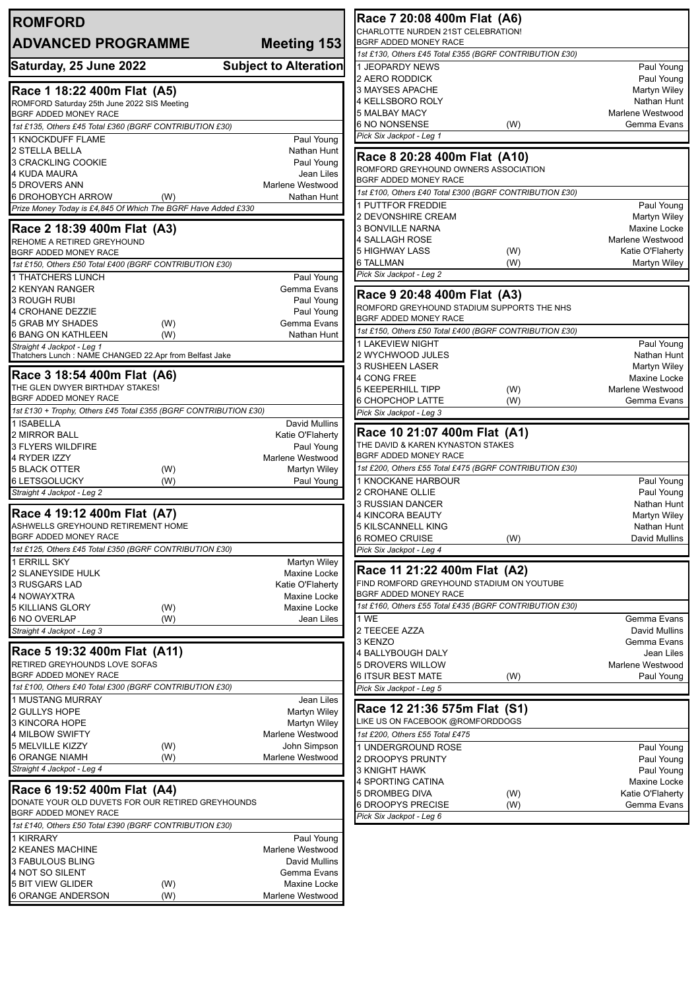| <b>ROMFORD</b>                                                                            |                                                             | Race 7 20:08 400m Flat (A6)                                   |     |                                 |
|-------------------------------------------------------------------------------------------|-------------------------------------------------------------|---------------------------------------------------------------|-----|---------------------------------|
| <b>ADVANCED PROGRAMME</b>                                                                 | CHARLOTTE NURDEN 21ST CELEBRATION!<br>BGRF ADDED MONEY RACE |                                                               |     |                                 |
|                                                                                           | Meeting 153                                                 | 1st £130, Others £45 Total £355 (BGRF CONTRIBUTION £30)       |     |                                 |
| Saturday, 25 June 2022                                                                    | <b>Subject to Alteration</b>                                | 1 JEOPARDY NEWS                                               |     | Paul Young                      |
|                                                                                           |                                                             | 2 AERO RODDICK                                                |     | Paul Young                      |
| Race 1 18:22 400m Flat (A5)                                                               |                                                             | 3 MAYSES APACHE                                               |     | Martyn Wiley                    |
| ROMFORD Saturday 25th June 2022 SIS Meeting                                               |                                                             | 4 KELLSBORO ROLY                                              |     | Nathan Hunt                     |
| BGRF ADDED MONEY RACE<br>1st £135, Others £45 Total £360 (BGRF CONTRIBUTION £30)          |                                                             | 5 MALBAY MACY<br>6 NO NONSENSE                                | (W) | Marlene Westwood<br>Gemma Evans |
| 1 KNOCKDUFF FLAME                                                                         | Paul Young                                                  | Pick Six Jackpot - Leg 1                                      |     |                                 |
| 2 STELLA BELLA                                                                            | Nathan Hunt                                                 |                                                               |     |                                 |
| 3 CRACKLING COOKIE                                                                        | Paul Young                                                  | Race 8 20:28 400m Flat (A10)                                  |     |                                 |
| 4 KUDA MAURA                                                                              | Jean Liles                                                  | ROMFORD GREYHOUND OWNERS ASSOCIATION<br>BGRF ADDED MONEY RACE |     |                                 |
| 5 DROVERS ANN                                                                             | Marlene Westwood                                            | 1st £100, Others £40 Total £300 (BGRF CONTRIBUTION £30)       |     |                                 |
| 6 DROHOBYCH ARROW<br>(W)<br>Prize Money Today is £4,845 Of Which The BGRF Have Added £330 | Nathan Hunt                                                 | 1 PUTTFOR FREDDIE                                             |     | Paul Young                      |
|                                                                                           |                                                             | 2 DEVONSHIRE CREAM                                            |     | Martyn Wiley                    |
| Race 2 18:39 400m Flat (A3)                                                               |                                                             | <b>3 BONVILLE NARNA</b>                                       |     | Maxine Locke                    |
| REHOME A RETIRED GREYHOUND                                                                |                                                             | 4 SALLAGH ROSE                                                |     | Marlene Westwood                |
| BGRF ADDED MONEY RACE                                                                     |                                                             | 5 HIGHWAY LASS                                                | (W) | Katie O'Flaherty                |
| 1st £150, Others £50 Total £400 (BGRF CONTRIBUTION £30)                                   |                                                             | 6 TALLMAN<br>Pick Six Jackpot - Leg 2                         | (W) | Martyn Wiley                    |
| <b>1 THATCHERS LUNCH</b><br>2 KENYAN RANGER                                               | Paul Young<br>Gemma Evans                                   |                                                               |     |                                 |
| <b>3 ROUGH RUBI</b>                                                                       | Paul Young                                                  | Race 9 20:48 400m Flat (A3)                                   |     |                                 |
| 4 CROHANE DEZZIE                                                                          | Paul Young                                                  | ROMFORD GREYHOUND STADIUM SUPPORTS THE NHS                    |     |                                 |
| 5 GRAB MY SHADES<br>(W)                                                                   | Gemma Evans                                                 | BGRF ADDED MONEY RACE                                         |     |                                 |
| <b>6 BANG ON KATHLEEN</b><br>(W)                                                          | Nathan Hunt                                                 | 1st £150, Others £50 Total £400 (BGRF CONTRIBUTION £30)       |     |                                 |
| Straight 4 Jackpot - Leg 1<br>Thatchers Lunch : NAME CHANGED 22.Apr from Belfast Jake     |                                                             | 1 LAKEVIEW NIGHT<br>2 WYCHWOOD JULES                          |     | Paul Young<br>Nathan Hunt       |
|                                                                                           |                                                             | <b>3 RUSHEEN LASER</b>                                        |     | Martyn Wiley                    |
| Race 3 18:54 400m Flat (A6)                                                               |                                                             | 4 CONG FREE                                                   |     | Maxine Locke                    |
| THE GLEN DWYER BIRTHDAY STAKES!                                                           |                                                             | <b>5 KEEPERHILL TIPP</b>                                      | (W) | Marlene Westwood                |
| BGRF ADDED MONEY RACE                                                                     |                                                             | 6 CHOPCHOP LATTE                                              | (W) | Gemma Evans                     |
| 1st £130 + Trophy, Others £45 Total £355 (BGRF CONTRIBUTION £30)<br>1 ISABELLA            | <b>David Mullins</b>                                        | Pick Six Jackpot - Leg 3                                      |     |                                 |
| 2 MIRROR BALL                                                                             | Katie O'Flaherty                                            | Race 10 21:07 400m Flat (A1)                                  |     |                                 |
| 3 FLYERS WILDFIRE                                                                         | Paul Young                                                  | THE DAVID & KAREN KYNASTON STAKES                             |     |                                 |
| 4 RYDER IZZY                                                                              | Marlene Westwood                                            | BGRF ADDED MONEY RACE                                         |     |                                 |
| <b>5 BLACK OTTER</b><br>(W)                                                               | Martyn Wiley                                                | 1st £200, Others £55 Total £475 (BGRF CONTRIBUTION £30)       |     |                                 |
| <b>6 LETSGOLUCKY</b><br>(W)<br>Straight 4 Jackpot - Leg 2                                 | Paul Young                                                  | 1 KNOCKANE HARBOUR<br>2 CROHANE OLLIE                         |     | Paul Young<br>Paul Young        |
|                                                                                           |                                                             | 3 RUSSIAN DANCER                                              |     | Nathan Hunt                     |
| Race 4 19:12 400m Flat (A7)                                                               |                                                             | 4 KINCORA BEAUTY                                              |     | Martyn Wiley                    |
| ASHWELLS GREYHOUND RETIREMENT HOME                                                        |                                                             | 5 KILSCANNELL KING                                            |     | Nathan Hunt                     |
| BGRF ADDED MONEY RACE<br>1st £125, Others £45 Total £350 (BGRF CONTRIBUTION £30)          |                                                             | 6 ROMEO CRUISE                                                | (W) | David Mullins                   |
| 1 ERRILL SKY                                                                              | Martyn Wiley                                                | Pick Six Jackpot - Leg 4                                      |     |                                 |
| 2 SLANEYSIDE HULK                                                                         | Maxine Locke                                                | Race 11 21:22 400m Flat (A2)                                  |     |                                 |
| 3 RUSGARS LAD                                                                             | Katie O'Flaherty                                            | FIND ROMFORD GREYHOUND STADIUM ON YOUTUBE                     |     |                                 |
| 4 NOWAYXTRA                                                                               | Maxine Locke                                                | BGRF ADDED MONEY RACE                                         |     |                                 |
| <b>5 KILLIANS GLORY</b><br>(W)                                                            | Maxine Locke                                                | 1st £160, Others £55 Total £435 (BGRF CONTRIBUTION £30)       |     |                                 |
| 6 NO OVERLAP<br>(W)<br>Straight 4 Jackpot - Leg 3                                         | Jean Liles                                                  | 1 WE<br>2 TEECEE AZZA                                         |     | Gemma Evans<br>David Mullins    |
|                                                                                           |                                                             | 3 KENZO                                                       |     | Gemma Evans                     |
| Race 5 19:32 400m Flat (A11)                                                              |                                                             | 4 BALLYBOUGH DALY                                             |     | Jean Liles                      |
| RETIRED GREYHOUNDS LOVE SOFAS                                                             |                                                             | 5 DROVERS WILLOW                                              |     | Marlene Westwood                |
| BGRF ADDED MONEY RACE                                                                     |                                                             | 6 ITSUR BEST MATE                                             | (W) | Paul Young                      |
| 1st £100, Others £40 Total £300 (BGRF CONTRIBUTION £30)                                   |                                                             | Pick Six Jackpot - Leg 5                                      |     |                                 |
| 1 MUSTANG MURRAY                                                                          | Jean Liles                                                  | Race 12 21:36 575m Flat (S1)                                  |     |                                 |
| 2 GULLYS HOPE<br>3 KINCORA HOPE                                                           | Martyn Wiley<br>Martyn Wiley                                | LIKE US ON FACEBOOK @ROMFORDDOGS                              |     |                                 |
| <b>4 MILBOW SWIFTY</b>                                                                    | Marlene Westwood                                            | 1st £200, Others £55 Total £475                               |     |                                 |
| 5 MELVILLE KIZZY<br>(W)                                                                   | John Simpson                                                | 1 UNDERGROUND ROSE                                            |     | Paul Young                      |
| <b>6 ORANGE NIAMH</b><br>(W)                                                              | Marlene Westwood                                            | 2 DROOPYS PRUNTY                                              |     | Paul Young                      |
| Straight 4 Jackpot - Leg 4                                                                |                                                             | <b>3 KNIGHT HAWK</b>                                          |     | Paul Young                      |
| Race 6 19:52 400m Flat (A4)                                                               |                                                             | 4 SPORTING CATINA                                             |     | Maxine Locke                    |
| DONATE YOUR OLD DUVETS FOR OUR RETIRED GREYHOUNDS                                         |                                                             | 5 DROMBEG DIVA                                                | (W) | Katie O'Flaherty                |
| BGRF ADDED MONEY RACE                                                                     |                                                             | 6 DROOPYS PRECISE<br>Pick Six Jackpot - Leg 6                 | (W) | Gemma Evans                     |
| 1st £140, Others £50 Total £390 (BGRF CONTRIBUTION £30)                                   |                                                             |                                                               |     |                                 |
| 1 KIRRARY                                                                                 | Paul Young                                                  |                                                               |     |                                 |
| 2 KEANES MACHINE                                                                          | Marlene Westwood                                            |                                                               |     |                                 |
| 3 FABULOUS BLING                                                                          | David Mullins                                               |                                                               |     |                                 |
| 4 NOT SO SILENT                                                                           | Gemma Evans                                                 |                                                               |     |                                 |
| <b>5 BIT VIEW GLIDER</b><br>(W)<br><b>6 ORANGE ANDERSON</b><br>(W)                        | Maxine Locke<br>Marlene Westwood                            |                                                               |     |                                 |
|                                                                                           |                                                             |                                                               |     |                                 |